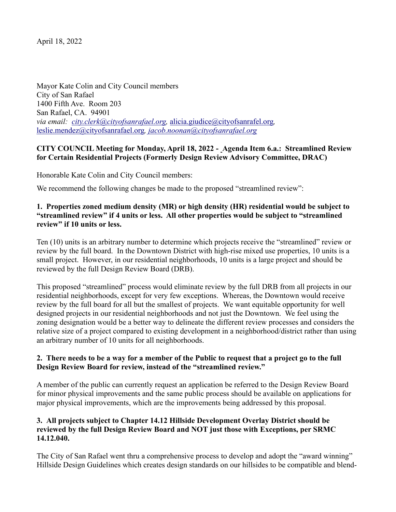April 18, 2022

Mayor Kate Colin and City Council members City of San Rafael 1400 Fifth Ave. Room 203 San Rafael, CA. 94901 *via email: [city.clerk@cityofsanrafael.org,](mailto:city.clerk@cityofsanrafael.org)* [alicia.giudice@cityofsanrafel.org](mailto:alicia.giudice@cityofsanrafel.org)*,*  [leslie.mendez@cityofsanrafael.org](mailto:leslie.mendez@cityofsanrafael.org)*, jacob.noonan@cityofsanrafael.org*

## **CITY COUNCIL Meeting for Monday, April 18, 2022 - Agenda Item 6.a.: Streamlined Review for Certain Residential Projects (Formerly Design Review Advisory Committee, DRAC)**

Honorable Kate Colin and City Council members:

We recommend the following changes be made to the proposed "streamlined review":

## **1. Properties zoned medium density (MR) or high density (HR) residential would be subject to "streamlined review" if 4 units or less. All other properties would be subject to "streamlined review" if 10 units or less.**

Ten (10) units is an arbitrary number to determine which projects receive the "streamlined" review or review by the full board. In the Downtown District with high-rise mixed use properties, 10 units is a small project. However, in our residential neighborhoods, 10 units is a large project and should be reviewed by the full Design Review Board (DRB).

This proposed "streamlined" process would eliminate review by the full DRB from all projects in our residential neighborhoods, except for very few exceptions. Whereas, the Downtown would receive review by the full board for all but the smallest of projects. We want equitable opportunity for well designed projects in our residential neighborhoods and not just the Downtown. We feel using the zoning designation would be a better way to delineate the different review processes and considers the relative size of a project compared to existing development in a neighborhood/district rather than using an arbitrary number of 10 units for all neighborhoods.

## **2. There needs to be a way for a member of the Public to request that a project go to the full Design Review Board for review, instead of the "streamlined review."**

A member of the public can currently request an application be referred to the Design Review Board for minor physical improvements and the same public process should be available on applications for major physical improvements, which are the improvements being addressed by this proposal.

## **3. All projects subject to Chapter 14.12 Hillside Development Overlay District should be reviewed by the full Design Review Board and NOT just those with Exceptions, per SRMC 14.12.040.**

The City of San Rafael went thru a comprehensive process to develop and adopt the "award winning" Hillside Design Guidelines which creates design standards on our hillsides to be compatible and blend-